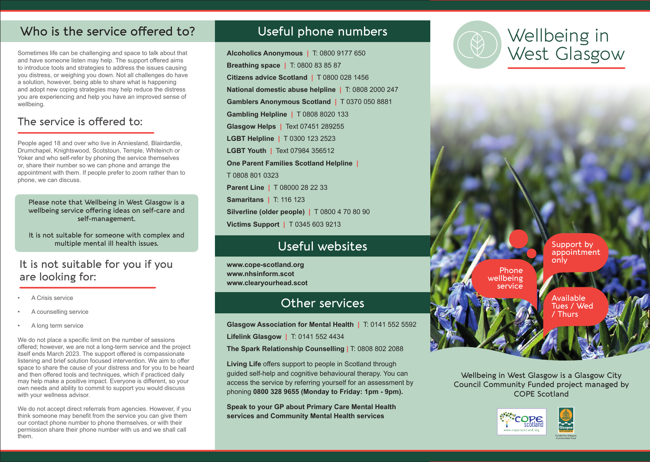## Who is the service offered to?

Sometimes life can be challenging and space to talk about that and have someone listen may help. The support offered aims to introduce tools and strategies to address the issues causing you distress, or weighing you down. Not all challenges do have a solution, however, being able to share what is happening and adopt new coping strategies may help reduce the distress you are experiencing and help you have an improved sense of wellbeing.

## The service is offered to:

People aged 18 and over who live in Anniesland, Blairdardie, Drumchapel, Knightswood, Scotstoun, Temple, Whiteinch or Yoker and who self-refer by phoning the service themselves or, share their number so we can phone and arrange the appointment with them. If people prefer to zoom rather than to phone, we can discuss.

Please note that Wellbeing in West Glasgow is a wellbeing service offering ideas on self-care and self-management.

It is not suitable for someone with complex and multiple mental ill health issues.

### It is not suitable for you if you are looking for:

- A Crisis service
- A counselling service
- A long term service

We do not place a specific limit on the number of sessions offered; however, we are not a long-term service and the project itself ends March 2023. The support offered is compassionate listening and brief solution focused intervention. We aim to offer space to share the cause of your distress and for you to be heard and then offered tools and techniques, which if practiced daily may help make a positive impact. Everyone is different, so your own needs and ability to commit to support you would discuss with your wellness advisor.

We do not accept direct referrals from agencies. However, if you think someone may benefit from the service you can give them our contact phone number to phone themselves, or with their permission share their phone number with us and we shall call them.

## Useful phone numbers

**Alcoholics Anonymous |** T: 0800 9177 650 **Breathing space |** T: 0800 83 85 87 **Citizens advice Scotland |** T 0800 028 1456 **National domestic abuse helpline |** T: 0808 2000 247 **Gamblers Anonymous Scotland |** T 0370 050 8881 **Gambling Helpline |** T 0808 8020 133 **Glasgow Helps |** Text 07451 289255 **LGBT Helpline |** T 0300 123 2523 **LGBT Youth |** Text 07984 356512 **One Parent Families Scotland Helpline |** T 0808 801 0323 **Parent Line |** T 08000 28 22 33 **Samaritans |** T: 116 123 **Silverline (older people) |** T 0800 4 70 80 90 **Victims Support |** T 0345 603 9213

## Useful websites

**www.cope-scotland.org www.nhsinform.scot www.clearyourhead.scot**

## Other services

**Glasgow Association for Mental Health |** T: 0141 552 5592 **Lifelink Glasgow |** T: 0141 552 4434

**The Spark Relationship Counselling |** T: 0808 802 2088

**Living Life** offers support to people in Scotland through guided self-help and cognitive behavioural therapy. You can access the service by referring yourself for an assessment by phoning **0800 328 9655 (Monday to Friday: 1pm - 9pm).**

**Speak to your GP about Primary Care Mental Health services and Community Mental Health services**



## Wellbeing in West Glasgow

Support by appointment only

Available Tues / Wed / Thurs

Wellbeing in West Glasgow is a Glasgow City Council Community Funded project managed by COPE Scotland



Phone wellbeing service